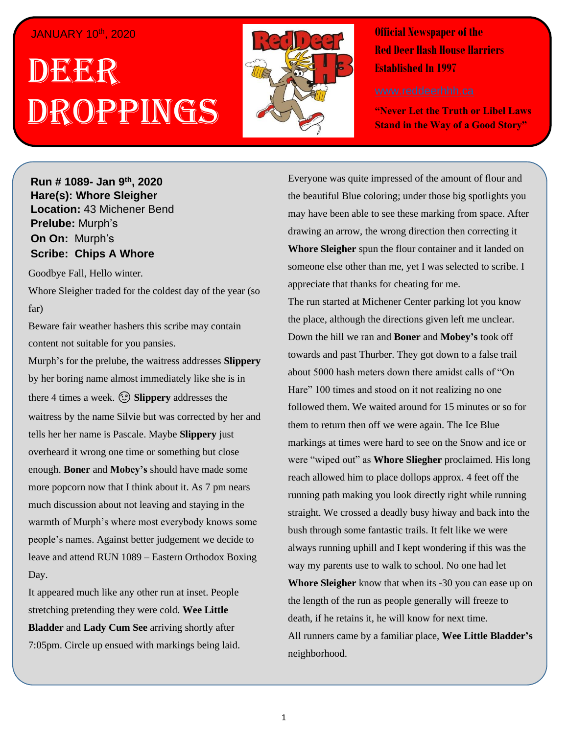## JANUARY 10th, 2020

# . 1 DEER , 2018 Droppings



**Official Newspaper of the Red Deer Hash House Harriers Established In 1997** 

**"Never Let the Truth or Libel Laws Stand in the Way of a Good Story"**

**Run # 1075- Oct. 3 rd, 2019 Hare(s): Deep Throat with a little help from her Run # 1089- Jan 9th, 2020 Hare(s): Whore Sleigher Location:** 43 Michener Bend **Prelube:** Murph's **On On:** Murph's **Scribe: Chips A Whore** *Have you ever just wanted to go out after a hard day of*  **Scribe: Chips A Whore** 

*work and just have a few drinks with some friends and*  Goodbye Fall, Hello winter.

Whore Sleigher traded for the coldest day of the year (so  $W$ l II have and this last  $W$  have and this last  $W$  happens there is the just happens there is the interval  $W$ far)

Beware fair weather hashers this scribe may contain content not suitable for you pansies.

Murph's for the prelube, the waitress addresses **Slippery** by her boring name almost immediately like she is in **there 4 times a week.**  $\circled{S}$  **<b>Slippery** addresses the waitress by the name Silvie but was corrected by her and overheard it wrong one time or something but close enough. **Boner** and **Mobey's** should have made some more popcorn now that I think about it. As 7 pm nears much discussion about not leaving and staying in the warmth of Murph's where most everybody knows some people's names. Against better judgement we decide to leave and attend RUN 1089 – Eastern Orthodox Boxing  $Day.$ tells her her name is Pascale. Maybe **Slippery** just Day.

It appeared much like any other run at inset. People stretching pretending they were cold. Wee Little **Bladder** and **Lady Cum See** arriving shortly after 7:05pm. Circle up ensued with markings being laid.

Everyone was quite impressed of the amount of flour and the beautiful Blue coloring; under those big spotlights you may have been able to see these marking from space. After drawing an arrow, the wrong direction then correcting it **Whore Sleigher** spun the flour container and it landed on someone else other than me, yet I was selected to scribe. I appreciate that thanks for cheating for me.

The run started at Michener Center parking lot you know the place, although the directions given left me unclear. towards and past Thurber. They got down to a false trail about 5000 hash meters down there amidst calls of "On Hare" 100 times and stood on it not realizing no one followed them. We waited around for 15 minutes or so for them to return then off we were again. The Ice Blue markings at times were hard to see on the Snow and ice or were "wiped out" as **Whore Sliegher** proclaimed. His long reach allowed him to place dollops approx. 4 feet off the running path making you look directly right while running *Have you ever been on a Hash Trail with so much flour*  always running uphill and I kept wondering if this was the *later you likely wouldn't need to buy any because the*  way my parents use to walk to school. No one had let **Whore Sleigher** know that when its -30 you can ease up on the length of the run as people generally will freeze to death, if he retains it, he will know for next time. All runners came by a familiar place, Wee Little Bladder's chips into one of the piles and stirring it into a cookie stirring it into a cookie stirring it into a cookie stirring it in the piles and stirring it is a cookie stirring it in the stirring it is a cookie stirring in the Down the hill we ran and **Boner** and **Mobey's** took off straight. We crossed a deadly busy hiway and back into the bush through some fantastic trails. It felt like we were